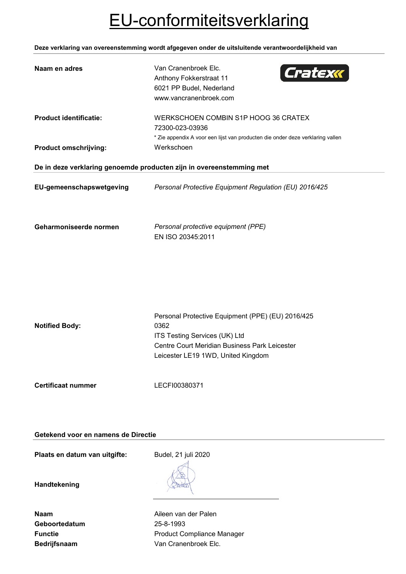# EU-conformiteitsverklaring

**Deze verklaring van overeenstemming wordt afgegeven onder de uitsluitende verantwoordelijkheid van**

| Anthony Fokkerstraat 11<br>6021 PP Budel, Nederland<br>www.vancranenbroek.com                                                                                                                              |  |
|------------------------------------------------------------------------------------------------------------------------------------------------------------------------------------------------------------|--|
| <b>Product identificatie:</b><br>WERKSCHOEN COMBIN S1P HOOG 36 CRATEX<br>72300-023-03936<br>* Zie appendix A voor een lijst van producten die onder deze verklaring vallen                                 |  |
| Werkschoen<br><b>Product omschrijving:</b>                                                                                                                                                                 |  |
| De in deze verklaring genoemde producten zijn in overeenstemming met                                                                                                                                       |  |
| EU-gemeenschapswetgeving<br>Personal Protective Equipment Regulation (EU) 2016/425                                                                                                                         |  |
| Geharmoniseerde normen<br>Personal protective equipment (PPE)<br>EN ISO 20345:2011                                                                                                                         |  |
| Personal Protective Equipment (PPE) (EU) 2016/425<br><b>Notified Body:</b><br>0362<br>ITS Testing Services (UK) Ltd<br>Centre Court Meridian Business Park Leicester<br>Leicester LE19 1WD, United Kingdom |  |
| <b>Certificaat nummer</b><br>LECFI00380371                                                                                                                                                                 |  |

## **Getekend voor en namens de Directie**

Plaats en datum van uitgifte: Budel, 21 juli 2020

**Handtekening**

| Naam                |
|---------------------|
| Geboortedatum       |
| <b>Functie</b>      |
| <b>Bedrijfsnaam</b> |

**Aileen van der Palen Geboortedatum** 25-8-1993 **Product Compliance Manager** Van Cranenbroek Elc.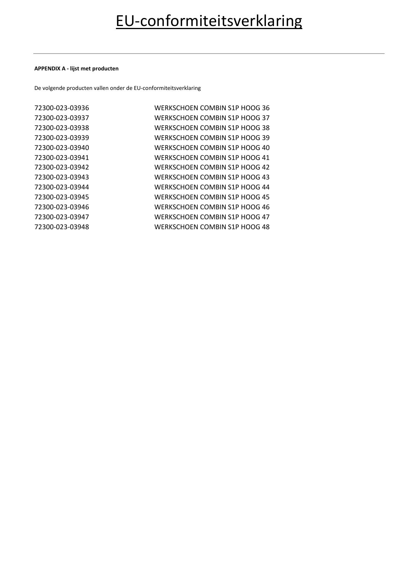#### **APPENDIX A - lijst met producten**

De volgende producten vallen onder de EU-conformiteitsverklaring

| 72300-023-03936 | WERKSCHOEN COMBIN S1P HOOG 36 |
|-----------------|-------------------------------|
| 72300-023-03937 | WERKSCHOEN COMBIN S1P HOOG 37 |
| 72300-023-03938 | WERKSCHOEN COMBIN S1P HOOG 38 |
| 72300-023-03939 | WERKSCHOEN COMBIN S1P HOOG 39 |
| 72300-023-03940 | WERKSCHOEN COMBIN S1P HOOG 40 |
| 72300-023-03941 | WERKSCHOEN COMBIN S1P HOOG 41 |
| 72300-023-03942 | WERKSCHOEN COMBIN S1P HOOG 42 |
| 72300-023-03943 | WERKSCHOEN COMBIN S1P HOOG 43 |
| 72300-023-03944 | WERKSCHOEN COMBIN S1P HOOG 44 |
| 72300-023-03945 | WERKSCHOEN COMBIN S1P HOOG 45 |
| 72300-023-03946 | WERKSCHOEN COMBIN S1P HOOG 46 |
| 72300-023-03947 | WERKSCHOEN COMBIN S1P HOOG 47 |
| 72300-023-03948 | WERKSCHOEN COMBIN S1P HOOG 48 |
|                 |                               |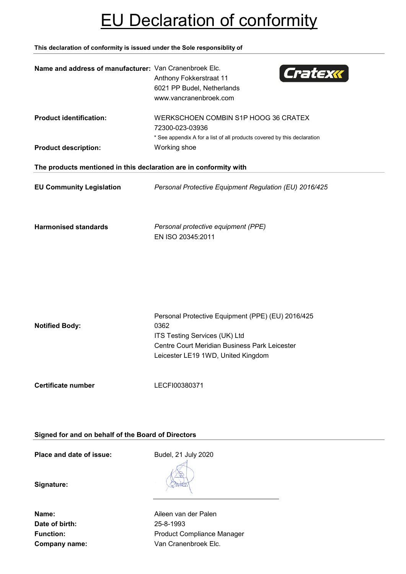# EU Declaration of conformity

**This declaration of conformity is issued under the Sole responsiblity of**

| Name and address of manufacturer: Van Cranenbroek Elc.            | Cratexk<br>Anthony Fokkerstraat 11<br>6021 PP Budel, Netherlands<br>www.vancranenbroek.com                                                                                        |
|-------------------------------------------------------------------|-----------------------------------------------------------------------------------------------------------------------------------------------------------------------------------|
| <b>Product identification:</b><br><b>Product description:</b>     | WERKSCHOEN COMBIN S1P HOOG 36 CRATEX<br>72300-023-03936<br>* See appendix A for a list of all products covered by this declaration<br>Working shoe                                |
| The products mentioned in this declaration are in conformity with |                                                                                                                                                                                   |
| <b>EU Community Legislation</b>                                   | Personal Protective Equipment Regulation (EU) 2016/425                                                                                                                            |
| <b>Harmonised standards</b>                                       | Personal protective equipment (PPE)<br>EN ISO 20345:2011                                                                                                                          |
| <b>Notified Body:</b>                                             | Personal Protective Equipment (PPE) (EU) 2016/425<br>0362<br>ITS Testing Services (UK) Ltd<br>Centre Court Meridian Business Park Leicester<br>Leicester LE19 1WD, United Kingdom |
| Certificate number                                                | LECFI00380371                                                                                                                                                                     |

**Signed for and on behalf of the Board of Directors**

**Place and date of issue:** Budel, 21 July 2020

**Signature:**

**Date of birth:** 25-8-1993

**Name:** Aileen van der Palen Function: **Function:** Product Compliance Manager **Company name:** Van Cranenbroek Elc.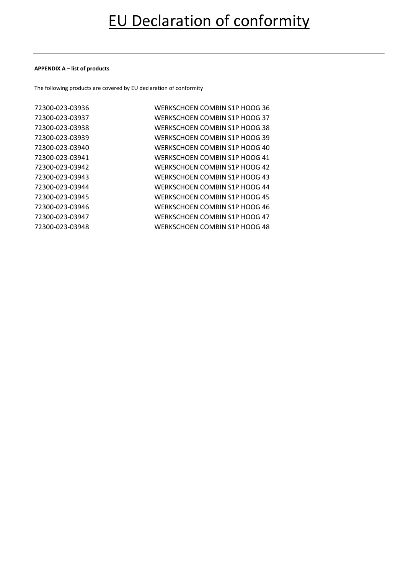#### **APPENDIX A – list of products**

The following products are covered by EU declaration of conformity

| 72300-023-03936 | WERKSCHOEN COMBIN S1P HOOG 36 |
|-----------------|-------------------------------|
| 72300-023-03937 | WERKSCHOEN COMBIN S1P HOOG 37 |
| 72300-023-03938 | WERKSCHOEN COMBIN S1P HOOG 38 |
| 72300-023-03939 | WERKSCHOEN COMBIN S1P HOOG 39 |
| 72300-023-03940 | WERKSCHOEN COMBIN S1P HOOG 40 |
| 72300-023-03941 | WERKSCHOEN COMBIN S1P HOOG 41 |
| 72300-023-03942 | WERKSCHOEN COMBIN S1P HOOG 42 |
| 72300-023-03943 | WERKSCHOEN COMBIN S1P HOOG 43 |
| 72300-023-03944 | WERKSCHOEN COMBIN S1P HOOG 44 |
| 72300-023-03945 | WERKSCHOEN COMBIN S1P HOOG 45 |
| 72300-023-03946 | WERKSCHOEN COMBIN S1P HOOG 46 |
| 72300-023-03947 | WERKSCHOEN COMBIN S1P HOOG 47 |
| 72300-023-03948 | WERKSCHOEN COMBIN S1P HOOG 48 |
|                 |                               |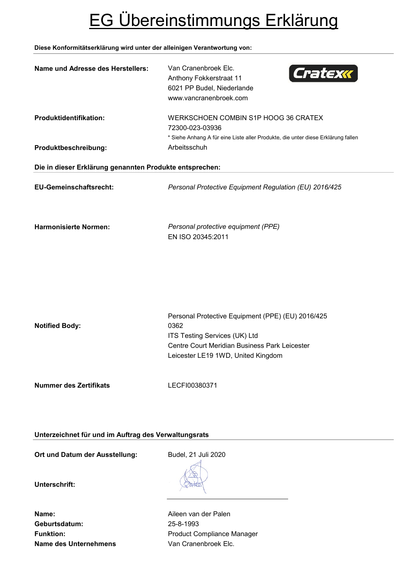# EG Übereinstimmungs Erklärung

## **Diese Konformitätserklärung wird unter der alleinigen Verantwortung von:**

| Name und Adresse des Herstellers:                       | Van Cranenbroek Elc.<br>Cratexx<br>Anthony Fokkerstraat 11<br>6021 PP Budel, Niederlande<br>www.vancranenbroek.com                                                                |
|---------------------------------------------------------|-----------------------------------------------------------------------------------------------------------------------------------------------------------------------------------|
| Produktidentifikation:                                  | WERKSCHOEN COMBIN S1P HOOG 36 CRATEX<br>72300-023-03936<br>* Siehe Anhang A für eine Liste aller Produkte, die unter diese Erklärung fallen                                       |
| Produktbeschreibung:                                    | Arbeitsschuh                                                                                                                                                                      |
| Die in dieser Erklärung genannten Produkte entsprechen: |                                                                                                                                                                                   |
| <b>EU-Gemeinschaftsrecht:</b>                           | Personal Protective Equipment Regulation (EU) 2016/425                                                                                                                            |
| <b>Harmonisierte Normen:</b>                            | Personal protective equipment (PPE)<br>EN ISO 20345:2011                                                                                                                          |
| <b>Notified Body:</b>                                   | Personal Protective Equipment (PPE) (EU) 2016/425<br>0362<br>ITS Testing Services (UK) Ltd<br>Centre Court Meridian Business Park Leicester<br>Leicester LE19 1WD, United Kingdom |
| <b>Nummer des Zertifikats</b>                           | LECFI00380371                                                                                                                                                                     |

**Unterzeichnet für und im Auftrag des Verwaltungsrats**

Ort und Datum der Ausstellung: Budel, 21 Juli 2020

**Unterschrift:**

**Name:** Aileen van der Palen **Geburtsdatum:** 25-8-1993 **Name des Unternehmens** Van Cranenbroek Elc.

Funktion: **Funktion:** Product Compliance Manager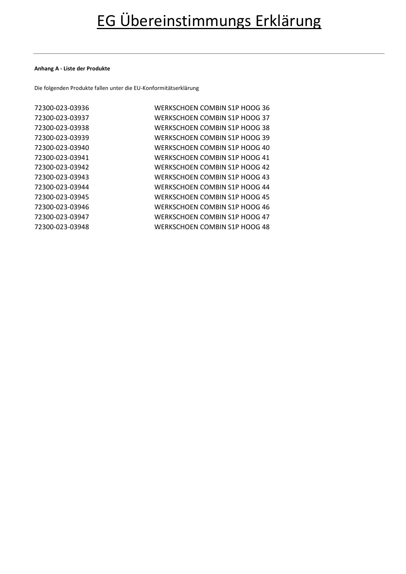#### **Anhang A - Liste der Produkte**

Die folgenden Produkte fallen unter die EU-Konformitätserklärung

| 72300-023-03936 | WERKSCHOEN COMBIN S1P HOOG 36 |
|-----------------|-------------------------------|
| 72300-023-03937 | WERKSCHOEN COMBIN S1P HOOG 37 |
| 72300-023-03938 | WERKSCHOEN COMBIN S1P HOOG 38 |
| 72300-023-03939 | WERKSCHOEN COMBIN S1P HOOG 39 |
| 72300-023-03940 | WERKSCHOEN COMBIN S1P HOOG 40 |
| 72300-023-03941 | WERKSCHOEN COMBIN S1P HOOG 41 |
| 72300-023-03942 | WERKSCHOEN COMBIN S1P HOOG 42 |
| 72300-023-03943 | WERKSCHOEN COMBIN S1P HOOG 43 |
| 72300-023-03944 | WERKSCHOEN COMBIN S1P HOOG 44 |
| 72300-023-03945 | WERKSCHOEN COMBIN S1P HOOG 45 |
| 72300-023-03946 | WERKSCHOEN COMBIN S1P HOOG 46 |
| 72300-023-03947 | WERKSCHOEN COMBIN S1P HOOG 47 |
| 72300-023-03948 | WERKSCHOEN COMBIN S1P HOOG 48 |
|                 |                               |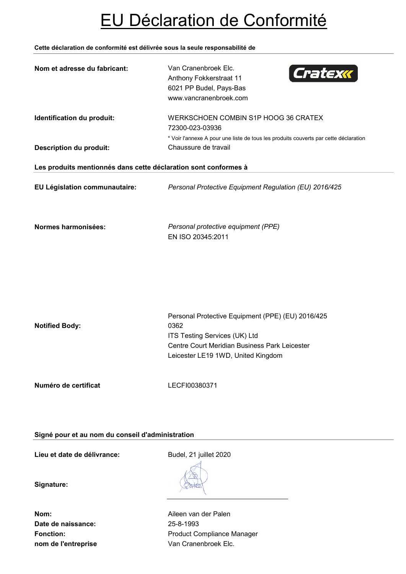# EU Déclaration de Conformité

### **Cette déclaration de conformité est délivrée sous la seule responsabilité de**

| Nom et adresse du fabricant:                                    | Van Cranenbroek Elc.<br>Cratexx<br>Anthony Fokkerstraat 11<br>6021 PP Budel, Pays-Bas<br>www.vancranenbroek.com                                                                   |
|-----------------------------------------------------------------|-----------------------------------------------------------------------------------------------------------------------------------------------------------------------------------|
| Identification du produit:                                      | WERKSCHOEN COMBIN S1P HOOG 36 CRATEX<br>72300-023-03936<br>* Voir l'annexe A pour une liste de tous les produits couverts par cette déclaration                                   |
| <b>Description du produit:</b>                                  | Chaussure de travail                                                                                                                                                              |
| Les produits mentionnés dans cette déclaration sont conformes à |                                                                                                                                                                                   |
| EU Législation communautaire:                                   | Personal Protective Equipment Regulation (EU) 2016/425                                                                                                                            |
| Normes harmonisées:                                             | Personal protective equipment (PPE)<br>EN ISO 20345:2011                                                                                                                          |
| <b>Notified Body:</b>                                           | Personal Protective Equipment (PPE) (EU) 2016/425<br>0362<br>ITS Testing Services (UK) Ltd<br>Centre Court Meridian Business Park Leicester<br>Leicester LE19 1WD, United Kingdom |
| Numéro de certificat                                            | LECFI00380371                                                                                                                                                                     |

## **Signé pour et au nom du conseil d'administration**

**Lieu et date de délivrance:** Budel, 21 juillet 2020

**Signature:**

**Date de naissance:** 25-8-1993 **nom de l'entreprise van Cranenbroek Elc.** 

**Nom:** Aileen van der Palen Fonction: **Fonction:** Product Compliance Manager